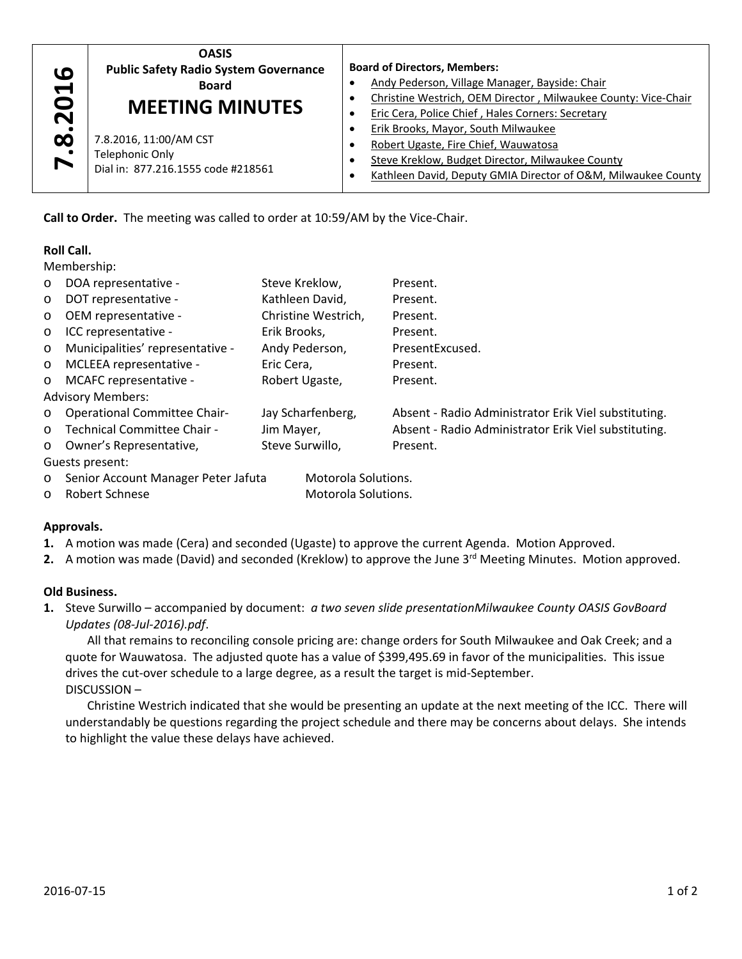

## **Roll Call.**

| 7.8.2016                                    | Public Safety Radio System Governance<br><b>Board</b><br><b>MEETING MINUTES</b><br>7.8.2016, 11:00/AM CST<br><b>Telephonic Only</b><br>Dial in: 877.216.1555 code #218561 | ٠<br>$\bullet$<br>$\bullet$<br>$\bullet$<br>$\bullet$ | DUAIU UI DIIELLUIS, IVIEIIIDEIS.<br>Andy Pederson, Village Manager, Bayside: Chair<br>Christine Westrich, OEM Director, Milwaukee County: Vice-C<br>Eric Cera, Police Chief, Hales Corners: Secretary<br>Erik Brooks, Mayor, South Milwaukee<br>Robert Ugaste, Fire Chief, Wauwatosa<br>Steve Kreklow, Budget Director, Milwaukee County<br>Kathleen David, Deputy GMIA Director of O&M, Milwaukee C                                                                                                                                                                       |
|---------------------------------------------|---------------------------------------------------------------------------------------------------------------------------------------------------------------------------|-------------------------------------------------------|----------------------------------------------------------------------------------------------------------------------------------------------------------------------------------------------------------------------------------------------------------------------------------------------------------------------------------------------------------------------------------------------------------------------------------------------------------------------------------------------------------------------------------------------------------------------------|
|                                             | Call to Order. The meeting was called to order at 10:59/AM by the Vice-Chair.                                                                                             |                                                       |                                                                                                                                                                                                                                                                                                                                                                                                                                                                                                                                                                            |
| <b>Roll Call.</b><br>Membership:<br>$\circ$ | DOA representative -                                                                                                                                                      | Steve Kreklow,                                        | Present.                                                                                                                                                                                                                                                                                                                                                                                                                                                                                                                                                                   |
| $\circ$                                     | DOT representative -                                                                                                                                                      | Kathleen David,                                       | Present.                                                                                                                                                                                                                                                                                                                                                                                                                                                                                                                                                                   |
| O                                           | OEM representative -                                                                                                                                                      | Christine Westrich,                                   | Present.                                                                                                                                                                                                                                                                                                                                                                                                                                                                                                                                                                   |
| O                                           | ICC representative -                                                                                                                                                      | Erik Brooks,                                          | Present.                                                                                                                                                                                                                                                                                                                                                                                                                                                                                                                                                                   |
| $\circ$                                     | Municipalities' representative -                                                                                                                                          | Andy Pederson,                                        | PresentExcused.                                                                                                                                                                                                                                                                                                                                                                                                                                                                                                                                                            |
| $\circ$                                     | MCLEEA representative -                                                                                                                                                   | Eric Cera,                                            | Present.                                                                                                                                                                                                                                                                                                                                                                                                                                                                                                                                                                   |
| MCAFC representative -<br>O                 |                                                                                                                                                                           | Robert Ugaste,                                        | Present.                                                                                                                                                                                                                                                                                                                                                                                                                                                                                                                                                                   |
|                                             | <b>Advisory Members:</b>                                                                                                                                                  |                                                       |                                                                                                                                                                                                                                                                                                                                                                                                                                                                                                                                                                            |
| $\circ$                                     | <b>Operational Committee Chair-</b>                                                                                                                                       | Jay Scharfenberg,                                     | Absent - Radio Administrator Erik Viel substituting.                                                                                                                                                                                                                                                                                                                                                                                                                                                                                                                       |
| $\circ$                                     | Technical Committee Chair -                                                                                                                                               | Jim Mayer,                                            | Absent - Radio Administrator Erik Viel substituting.                                                                                                                                                                                                                                                                                                                                                                                                                                                                                                                       |
| O                                           | Owner's Representative,                                                                                                                                                   | Steve Surwillo,                                       | Present.                                                                                                                                                                                                                                                                                                                                                                                                                                                                                                                                                                   |
|                                             | Guests present:                                                                                                                                                           |                                                       |                                                                                                                                                                                                                                                                                                                                                                                                                                                                                                                                                                            |
| O                                           | Senior Account Manager Peter Jafuta<br>Motorola Solutions.                                                                                                                |                                                       |                                                                                                                                                                                                                                                                                                                                                                                                                                                                                                                                                                            |
| $\circ$                                     | Robert Schnese<br>Motorola Solutions.                                                                                                                                     |                                                       |                                                                                                                                                                                                                                                                                                                                                                                                                                                                                                                                                                            |
| Approvals.                                  |                                                                                                                                                                           |                                                       |                                                                                                                                                                                                                                                                                                                                                                                                                                                                                                                                                                            |
|                                             |                                                                                                                                                                           |                                                       | 1. A motion was made (Cera) and seconded (Ugaste) to approve the current Agenda. Motion Approved.<br>2. A motion was made (David) and seconded (Kreklow) to approve the June 3 <sup>rd</sup> Meeting Minutes. Motion approve                                                                                                                                                                                                                                                                                                                                               |
| <b>Old Business.</b>                        | Updates (08-Jul-2016).pdf.<br>drives the cut-over schedule to a large degree, as a result the target is mid-September.<br>DISCUSSION-                                     |                                                       | 1. Steve Surwillo - accompanied by document: a two seven slide presentationMilwaukee County OASIS GovBoard<br>All that remains to reconciling console pricing are: change orders for South Milwaukee and Oak Creek; and a<br>quote for Wauwatosa. The adjusted quote has a value of \$399,495.69 in favor of the municipalities. This issue<br>Christine Westrich indicated that she would be presenting an update at the next meeting of the ICC. There v<br>understandably be questions regarding the project schedule and there may be concerns about delays. She inten |
|                                             | to highlight the value these delays have achieved.                                                                                                                        |                                                       |                                                                                                                                                                                                                                                                                                                                                                                                                                                                                                                                                                            |

# **Approvals.**

- **1.** A motion was made (Cera) and seconded (Ugaste) to approve the current Agenda. Motion Approved.
- 2. A motion was made (David) and seconded (Kreklow) to approve the June 3<sup>rd</sup> Meeting Minutes. Motion approved.

### **Old Business.**